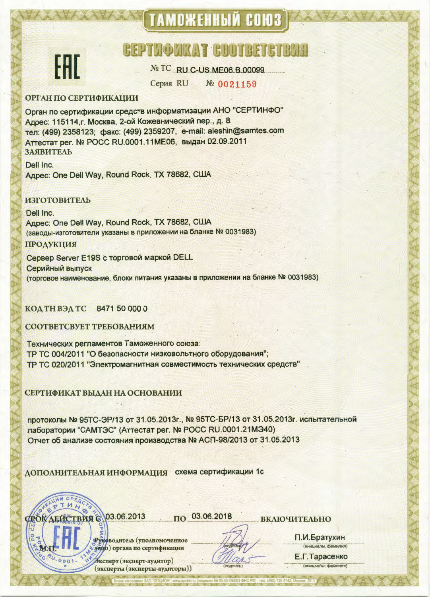# **ТАМОЖЕННЫЙ СОЮЗ**

## **BEPTHOMKAT GUOTBETGTBA**



№ TC RU C-US.ME06.B.00099

Серия RU № 0021159

#### **ОРГАН ПО СЕРТИФИКАЦИИ**

Орган по сертификации средств информатизации АНО "СЕРТИНФО" Адрес: 115114, г. Москва, 2-ой Кожевнический пер., д. 8 тел: (499) 2358123; факс: (499) 2359207, e-mail: aleshin@samtes.com Аттестат рег. № РОСС RU.0001.11МЕ06, выдан 02.09.2011 ЗАЯВИТЕЛЬ

Dell Inc. Agpec: One Dell Way, Round Rock, TX 78682, CIJJA

### **ИЗГОТОВИТЕЛЬ**

Dell Inc. Agpec: One Dell Way, Round Rock, TX 78682, CIJJA (заводы-изготовители указаны в приложении на бланке № 0031983)

#### ПРОДУКЦИЯ

Сервер Server E19S с торговой маркой DELL Серийный выпуск (торговое наименование, блоки питания указаны в приложении на бланке № 0031983)

#### 8471 50 000 0 КОД ТН ВЭД ТС

СООТВЕТСВУЕТ ТРЕБОВАНИЯМ

Технических регламентов Таможенного союза: ТР ТС 004/2011 "О безопасности низковольтного оборудования"; ТР ТС 020/2011 "Электромагнитная совместимость технических средств"

#### СЕРТИФИКАТ ВЫДАН НА ОСНОВАНИИ

протоколы № 95ТС-ЭР/13 от 31.05.2013г., № 95ТС-БР/13 от 31.05.2013г. испытательной лаборатории "САМТЭС" (Аттестат рег. № РОСС RU.0001.21МЭ40) Отчет об анализе состояния производства № АСП-98/2013 от 31.05.2013

ДОПОЛНИТЕЛЬНАЯ ИНФОРМАЦИЯ схема сертификации 1с

ФОКДЕЙСТВИЯ 6 03.06.2013

THA

**RU. 0001.** 

03.06.2018  $\Pi$ <sup>O</sup>

ВКЛЮЧИТЕЛЬНО

**HC PO)** ren (495) 726 4742 V-

Руководитель (уполномоченное ендо) органа по сертификации

Эксперт (эксперт-аудитор) (эксперты (эксперты-аудиторы))

(инициалы, фамилия) Е.Г.Тарасенко налы, фам

П.И.Братухин